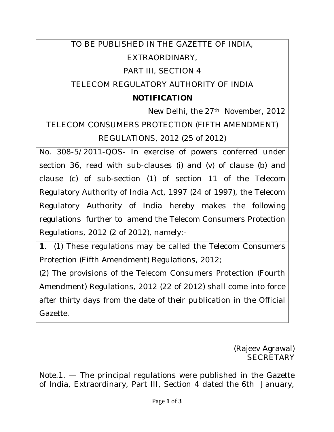# TO BE PUBLISHED IN THE GAZETTE OF INDIA, EXTRAORDINARY,

## PART III, SECTION 4

# TELECOM REGULATORY AUTHORITY OF INDIA

#### **NOTIFICATION**

New Delhi, the 27th November, 2012

TELECOM CONSUMERS PROTECTION (FIFTH AMENDMENT) REGULATIONS, 2012 (25 of 2012)

No. 308-5/2011-QOS- In exercise of powers conferred under section 36, read with sub-clauses (i) and (v) of clause (b) and clause (c) of sub-section (1) of section 11 of the Telecom Regulatory Authority of India Act, 1997 (24 of 1997), the Telecom Regulatory Authority of India hereby makes the following regulations further to amend the Telecom Consumers Protection Regulations, 2012 (2 of 2012), namely:-

**1**. (1) These regulations may be called the Telecom Consumers Protection (Fifth Amendment) Regulations, 2012;

(2) The provisions of the Telecom Consumers Protection (Fourth Amendment) Regulations, 2012 (22 of 2012) shall come into force after thirty days from the date of their publication in the Official Gazette.

> (Rajeev Agrawal) **SECRETARY**

Note.1. — The principal regulations were published in the Gazette of India, Extraordinary, Part III, Section 4 dated the 6th January,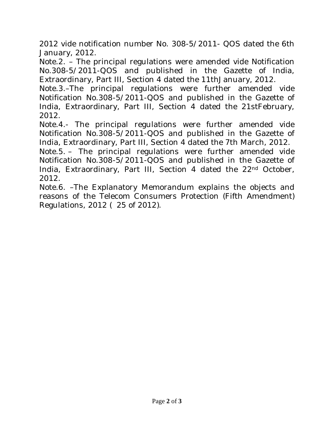2012 vide notification number No. 308-5/2011- QOS dated the 6th January, 2012.

Note.2. – The principal regulations were amended vide Notification No.308-5/2011-QOS and published in the Gazette of India, Extraordinary, Part III, Section 4 dated the 11thJanuary, 2012.

Note.3.–The principal regulations were further amended vide Notification No.308-5/2011-QOS and published in the Gazette of India, Extraordinary, Part III, Section 4 dated the 21stFebruary, 2012.

Note.4.- The principal regulations were further amended vide Notification No.308-5/2011-QOS and published in the Gazette of India, Extraordinary, Part III, Section 4 dated the 7th March, 2012.

Note.5. – The principal regulations were further amended vide Notification No.308-5/2011-QOS and published in the Gazette of India, Extraordinary, Part III, Section 4 dated the 22nd October, 2012.

Note.6. –The Explanatory Memorandum explains the objects and reasons of the Telecom Consumers Protection (Fifth Amendment) Regulations, 2012 ( 25 of 2012).